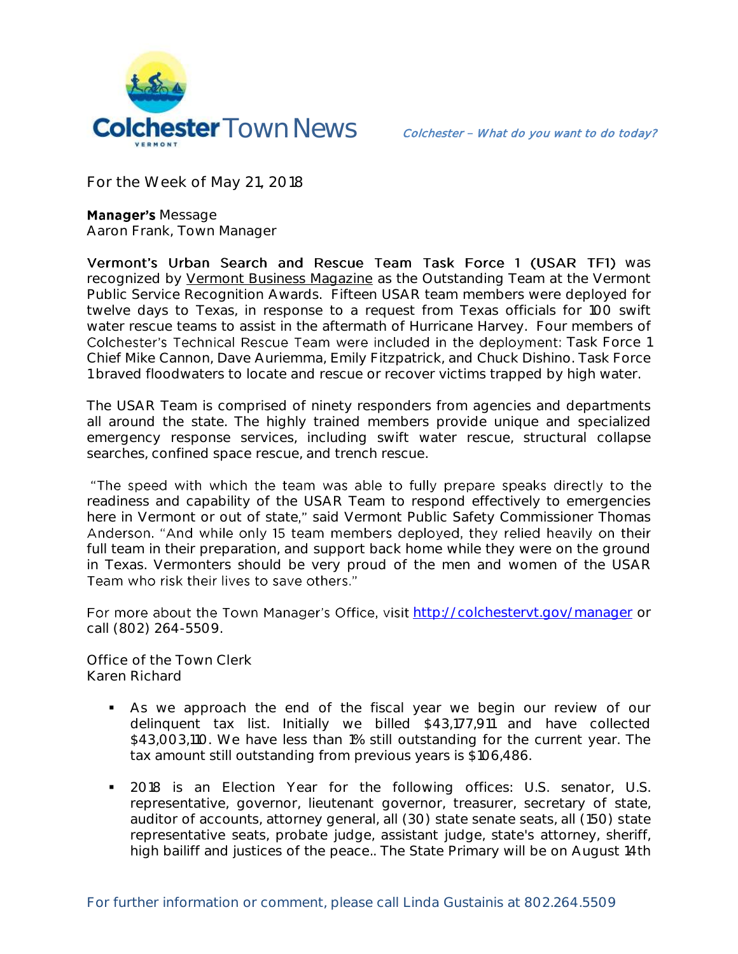

**For the Week of May 21, 2018**

**Manager's Message Aaron Frank, Town Manager** 

Vermont's Urban Search and Rescue Team Task Force 1 (USAR TF1) was recognized by Vermont Business Magazine as the Outstanding Team at the Vermont Public Service Recognition Awards. Fifteen USAR team members were deployed for twelve days to Texas, in response to a request from Texas officials for 100 swift water rescue teams to assist in the aftermath of Hurricane Harvey. Four members of Colchester's Technical Rescue Team were included in the deployment: Task Force 1 Chief Mike Cannon, Dave Auriemma, Emily Fitzpatrick, and Chuck Dishino. Task Force 1 braved floodwaters to locate and rescue or recover victims trapped by high water.

The USAR Team is comprised of ninety responders from agencies and departments all around the state. The highly trained members provide unique and specialized emergency response services, including swift water rescue, structural collapse searches, confined space rescue, and trench rescue.

"The speed with which the team was able to fully prepare speaks directly to the readiness and capability of the USAR Team to respond effectively to emergencies here in Vermont or out of state," said Vermont Public Safety Commissioner Thomas Anderson. "And while only 15 team members deployed, they relied heavily on their full team in their preparation, and support back home while they were on the ground in Texas. Vermonters should be very proud of the men and women of the USAR Team who risk their lives to save others."

For more about the Town Manager's Office, visit <http://colchestervt.gov/manager> or call (802) 264-5509.

**Office of the Town Clerk Karen Richard**

- As we approach the end of the fiscal year we begin our review of our delinquent tax list. Initially we billed \$43,177,911 and have collected \$43,003,110. We have less than 1% still outstanding for the current year. The tax amount still outstanding from previous years is \$106,486.
- **2018** is an Election Year for the following offices: U.S. senator, U.S. representative, governor, lieutenant governor, treasurer, secretary of state, auditor of accounts, attorney general, all (30) state senate seats, all (150) state representative seats, probate judge, assistant judge, state's attorney, sheriff, high bailiff and justices of the peace.. The State Primary will be on August 14th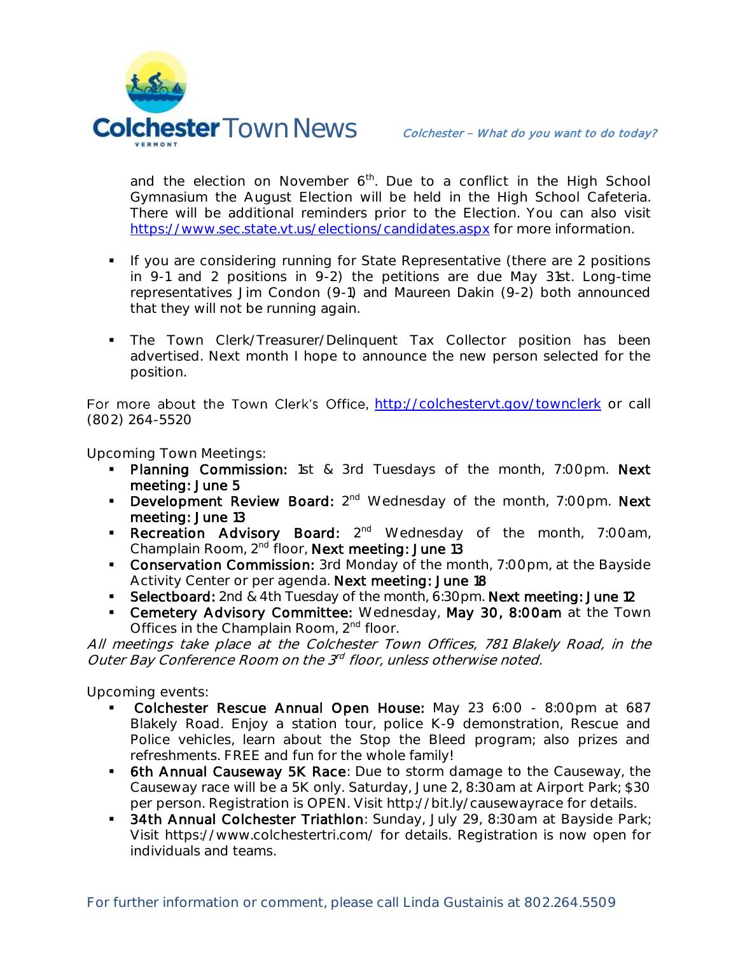

and the election on November  $6<sup>th</sup>$ . Due to a conflict in the High School Gymnasium the August Election will be held in the High School Cafeteria. There will be additional reminders prior to the Election. You can also visit <https://www.sec.state.vt.us/elections/candidates.aspx> for more information.

- **If you are considering running for State Representative (there are 2 positions** in 9-1 and 2 positions in 9-2) the petitions are due May 31st. Long-time representatives Jim Condon (9-1) and Maureen Dakin (9-2) both announced that they will not be running again.
- **The Town Clerk/Treasurer/Delinquent Tax Collector position has been** advertised. Next month I hope to announce the new person selected for the position.

For more about the Town Clerk's Office, <http://colchestervt.gov/townclerk> or call (802) 264-5520

**Upcoming Town Meetings:** 

- Planning Commission: 1st & 3rd Tuesdays of the month, 7:00pm. Next meeting: June 5
- **Development Review Board:**  $2^{nd}$  Wednesday of the month, 7:00pm. Next meeting: June 13
- **Recreation Advisory Board:** 2<sup>nd</sup> Wednesday of the month, 7:00am, Champlain Room, 2<sup>nd</sup> floor, Next meeting: June 13
- **Conservation Commission:** 3rd Monday of the month, 7:00pm, at the Bayside Activity Center or per agenda. Next meeting: June 18
- Selectboard: 2nd & 4th Tuesday of the month, 6:30pm. Next meeting: June 12
- **Cemetery Advisory Committee:** Wednesday, May 30, 8:00am at the Town Offices in the Champlain Room, 2<sup>nd</sup> floor.

All meetings take place at the Colchester Town Offices, 781 Blakely Road, in the Outer Bay Conference Room on the 3<sup>rd</sup> floor, unless otherwise noted.

**Upcoming events:**

- Colchester Rescue Annual Open House: May 23 6:00 8:00pm at 687 Blakely Road. Enjoy a station tour, police K-9 demonstration, Rescue and Police vehicles, learn about the Stop the Bleed program; also prizes and refreshments. FREE and fun for the whole family!
- **6th Annual Causeway 5K Race:** Due to storm damage to the Causeway, the Causeway race will be a 5K only. Saturday, June 2, 8:30am at Airport Park; \$30 per person. Registration is OPEN. Visit http://bit.ly/causewayrace for details.
- **34th Annual Colchester Triathlon**: Sunday, July 29, 8:30am at Bayside Park; Visit https://www.colchestertri.com/ for details. Registration is now open for individuals and teams.